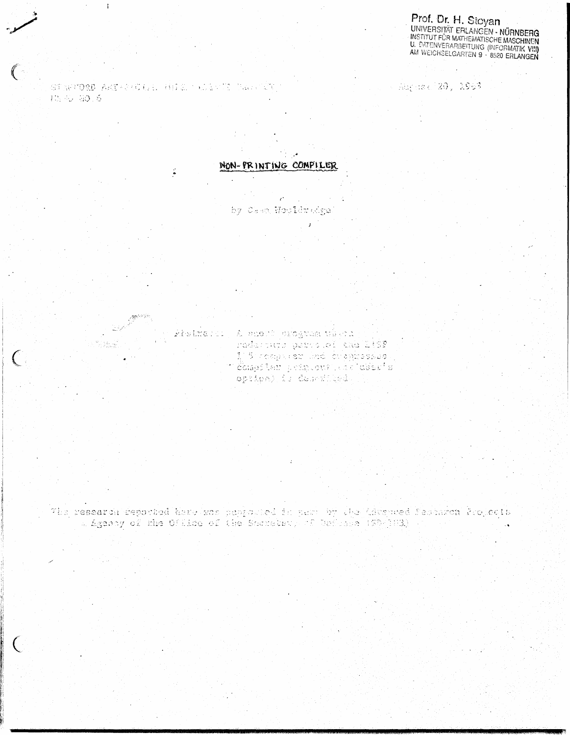**Prof. Dr. H. Stoyan<br>UNIVERSITÄT ERLANGEN - NÜRNBERG<br>INSTITUT FÜR MATHEMATISCHE MASCHINEN<br>U. DATENVERARBEITUNG (INFORMATIK VIII)**<br>AM WEICHSELGARTEN 9 - 8520 ERLANGEN

STEPTORD AREPRODEL HELD THOSTIC CAPITATO Supers of 2011-2963.

10,45 50.6

 $\overline{\mathcal{C}}$ 

 $\ddot{ }$ 

 $\zeta$ 

NON-PRINTING CONPILER

by Casa Wooldradge.

khatmarii, A mhort mgagmam viziri Tederous parts of the 1:5F 1 5 rodyk er ind brøyrssies. i Šameliek primonistični ušeča.<br>Opripa) is descritiķis (Samel

The research deported hare was pepicular sum by the Liscused Securion Propects a Agency of the Office of the Sacreter, of Orfords (180-183) -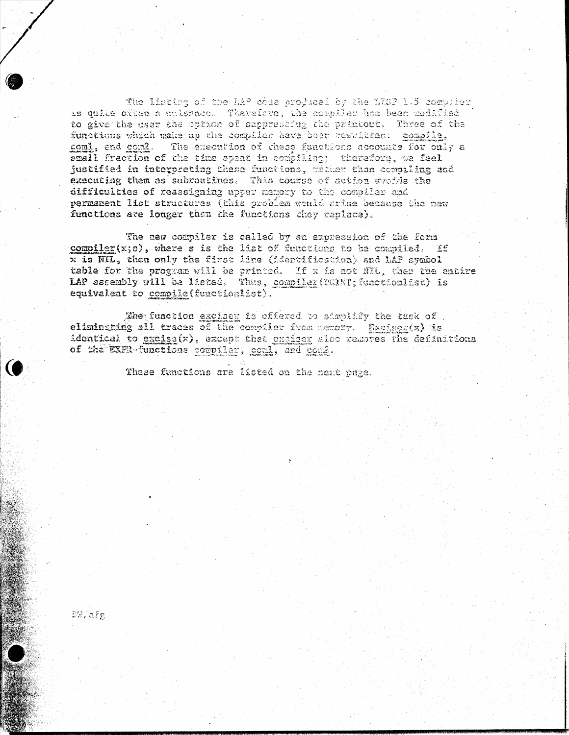The listing of the LAP code produced by the LTCP 1.5 compiler is quile often a nuisance. Therefore, the compiler has been modified to give the user the option of suppressing the printout. Three of the functions which make up the compiler have been couritten: compile, coml, and com2. The execution of these functions accounts for only a small fraction of the time speat in rempiling; therefore, we feel justified in interpreting these functions, rather than compiling and executing them as subroutines. This course of action avoide the difficulties of reassigning upper memory to the compiler and permanent list structures (this problem would arise because the new functions are longer than the functions they replace).

The new compiler is called by an expression of the form compiler(x;s), where s is the list of functions to be compiled. If x is NIL, then only the first line (identification) and LAP symbol table for the program will be printed. If x is not NIL, then the entire LAP assembly will be listed. Thus, complier (PNINT; functionlist) is equivalent to compile (functionlist).

The function exciser is offered to simplify the task of. eliminating all traces of the complier from memory. Excluer(x) is identical to excise(x), except that exciser also removes the definitions of the EXPR-functions compiler, gonl, and com2.

These functions are listed on the neat page.

DW/afg